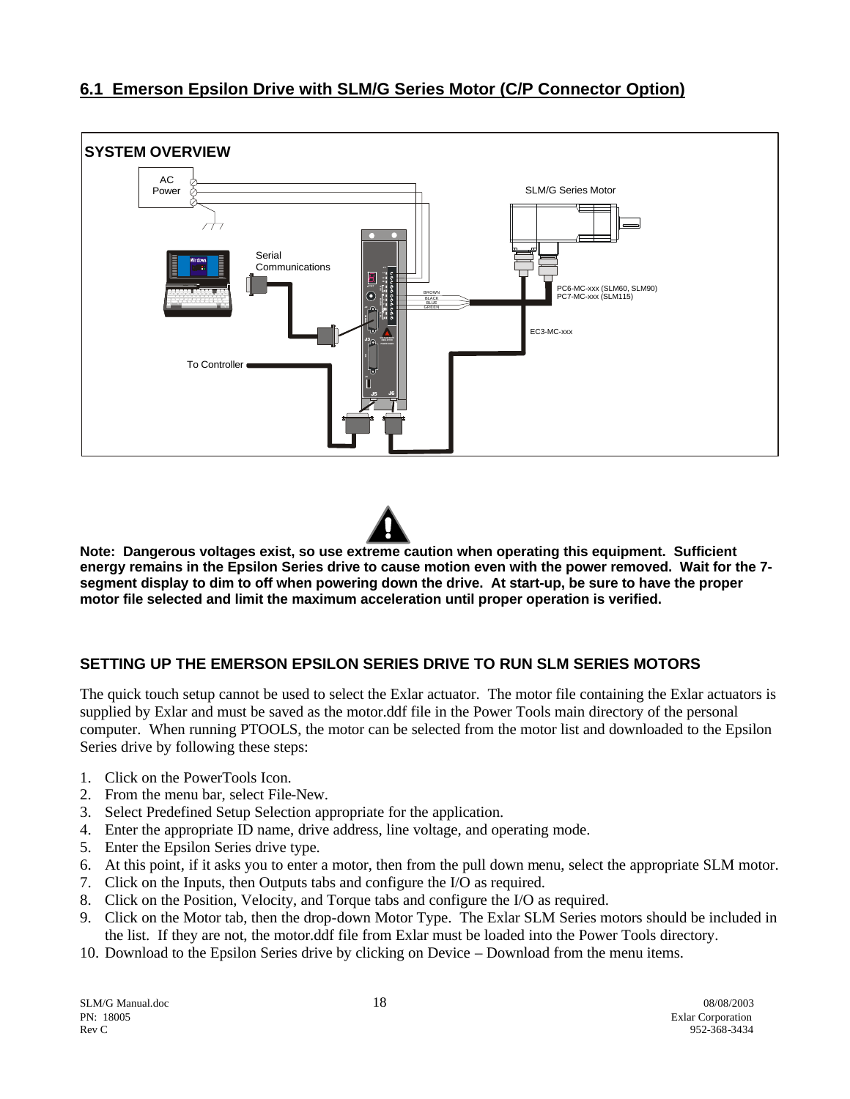## **6.1 Emerson Epsilon Drive with SLM/G Series Motor (C/P Connector Option)**





**Note: Dangerous voltages exist, so use extreme caution when operating this equipment. Sufficient energy remains in the Epsilon Series drive to cause motion even with the power removed. Wait for the 7 segment display to dim to off when powering down the drive. At start-up, be sure to have the proper motor file selected and limit the maximum acceleration until proper operation is verified.**

## **SETTING UP THE EMERSON EPSILON SERIES DRIVE TO RUN SLM SERIES MOTORS**

The quick touch setup cannot be used to select the Exlar actuator. The motor file containing the Exlar actuators is supplied by Exlar and must be saved as the motor.ddf file in the Power Tools main directory of the personal computer. When running PTOOLS, the motor can be selected from the motor list and downloaded to the Epsilon Series drive by following these steps:

- 1. Click on the PowerTools Icon.
- 2. From the menu bar, select File-New.
- 3. Select Predefined Setup Selection appropriate for the application.
- 4. Enter the appropriate ID name, drive address, line voltage, and operating mode.
- 5. Enter the Epsilon Series drive type.
- 6. At this point, if it asks you to enter a motor, then from the pull down menu, select the appropriate SLM motor.
- 7. Click on the Inputs, then Outputs tabs and configure the I/O as required.
- 8. Click on the Position, Velocity, and Torque tabs and configure the I/O as required.
- 9. Click on the Motor tab, then the drop-down Motor Type. The Exlar SLM Series motors should be included in the list. If they are not, the motor.ddf file from Exlar must be loaded into the Power Tools directory.
- 10. Download to the Epsilon Series drive by clicking on Device Download from the menu items.